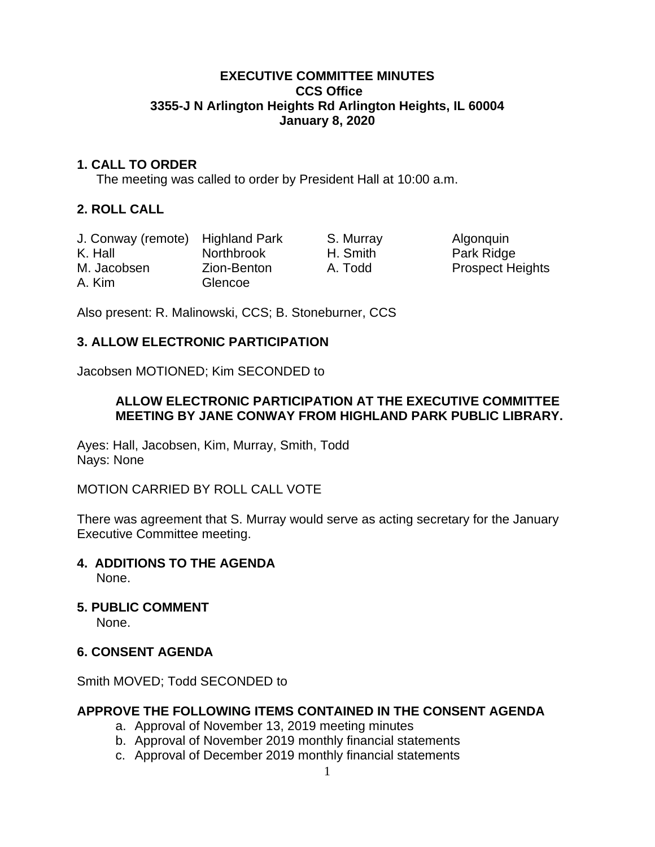# **EXECUTIVE COMMITTEE MINUTES CCS Office 3355-J N Arlington Heights Rd Arlington Heights, IL 60004 January 8, 2020**

# **1. CALL TO ORDER**

The meeting was called to order by President Hall at 10:00 a.m.

# **2. ROLL CALL**

| J. Conway (remote) Highland Park |                   | S. Murray |
|----------------------------------|-------------------|-----------|
| K. Hall                          | <b>Northbrook</b> | H. Smith  |
| M. Jacobsen                      | Zion-Benton       | A. Todd   |
| A. Kim                           | Glencoe           |           |

Algonquin Park Ridge Prospect Heights

Also present: R. Malinowski, CCS; B. Stoneburner, CCS

# **3. ALLOW ELECTRONIC PARTICIPATION**

Jacobsen MOTIONED; Kim SECONDED to

# **ALLOW ELECTRONIC PARTICIPATION AT THE EXECUTIVE COMMITTEE MEETING BY JANE CONWAY FROM HIGHLAND PARK PUBLIC LIBRARY.**

Ayes: Hall, Jacobsen, Kim, Murray, Smith, Todd Nays: None

MOTION CARRIED BY ROLL CALL VOTE

There was agreement that S. Murray would serve as acting secretary for the January Executive Committee meeting.

- **4. ADDITIONS TO THE AGENDA**  None.
- **5. PUBLIC COMMENT**

None.

# **6. CONSENT AGENDA**

Smith MOVED; Todd SECONDED to

# **APPROVE THE FOLLOWING ITEMS CONTAINED IN THE CONSENT AGENDA**

- a. Approval of November 13, 2019 meeting minutes
- b. Approval of November 2019 monthly financial statements
- c. Approval of December 2019 monthly financial statements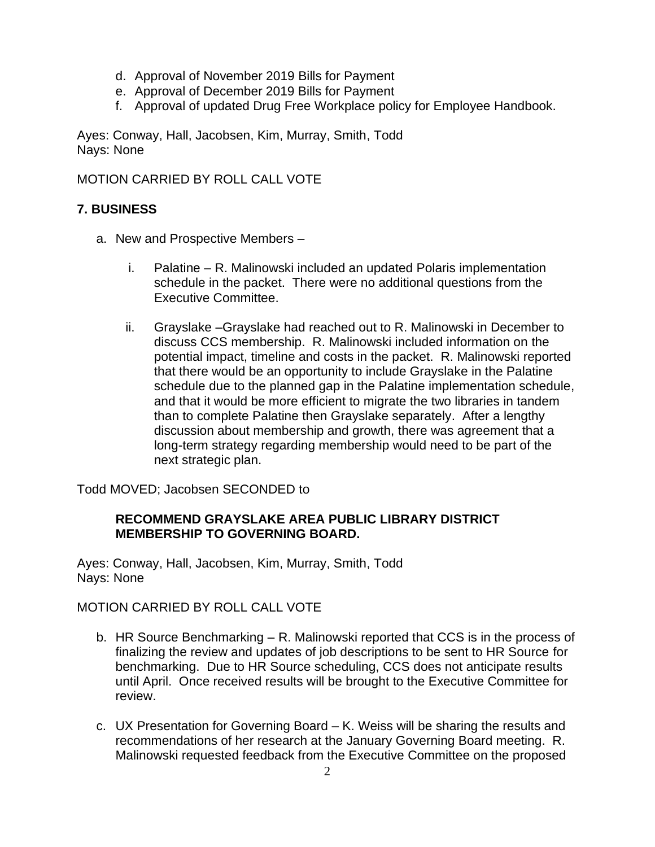- d. Approval of November 2019 Bills for Payment
- e. Approval of December 2019 Bills for Payment
- f. Approval of updated Drug Free Workplace policy for Employee Handbook.

Ayes: Conway, Hall, Jacobsen, Kim, Murray, Smith, Todd Nays: None

MOTION CARRIED BY ROLL CALL VOTE

# **7. BUSINESS**

- a. New and Prospective Members
	- i. Palatine R. Malinowski included an updated Polaris implementation schedule in the packet. There were no additional questions from the Executive Committee.
	- ii. Grayslake –Grayslake had reached out to R. Malinowski in December to discuss CCS membership. R. Malinowski included information on the potential impact, timeline and costs in the packet. R. Malinowski reported that there would be an opportunity to include Grayslake in the Palatine schedule due to the planned gap in the Palatine implementation schedule, and that it would be more efficient to migrate the two libraries in tandem than to complete Palatine then Grayslake separately. After a lengthy discussion about membership and growth, there was agreement that a long-term strategy regarding membership would need to be part of the next strategic plan.

Todd MOVED; Jacobsen SECONDED to

# **RECOMMEND GRAYSLAKE AREA PUBLIC LIBRARY DISTRICT MEMBERSHIP TO GOVERNING BOARD.**

Ayes: Conway, Hall, Jacobsen, Kim, Murray, Smith, Todd Nays: None

# MOTION CARRIED BY ROLL CALL VOTE

- b. HR Source Benchmarking R. Malinowski reported that CCS is in the process of finalizing the review and updates of job descriptions to be sent to HR Source for benchmarking. Due to HR Source scheduling, CCS does not anticipate results until April. Once received results will be brought to the Executive Committee for review.
- c. UX Presentation for Governing Board K. Weiss will be sharing the results and recommendations of her research at the January Governing Board meeting. R. Malinowski requested feedback from the Executive Committee on the proposed